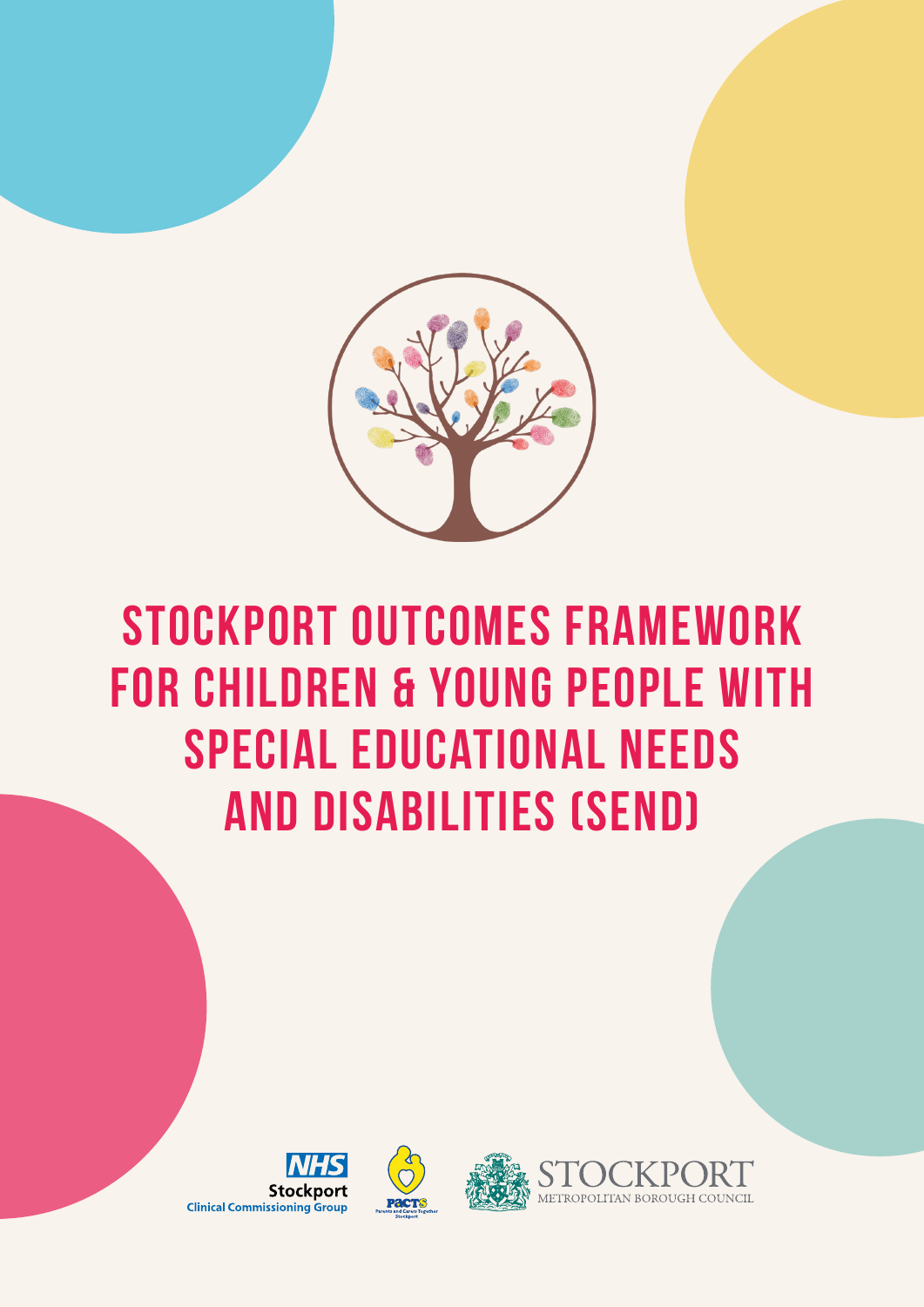

## **Stockport Outcomes Framework for Children & Young People with Special Educational Needs and Disabilities (SEND)**



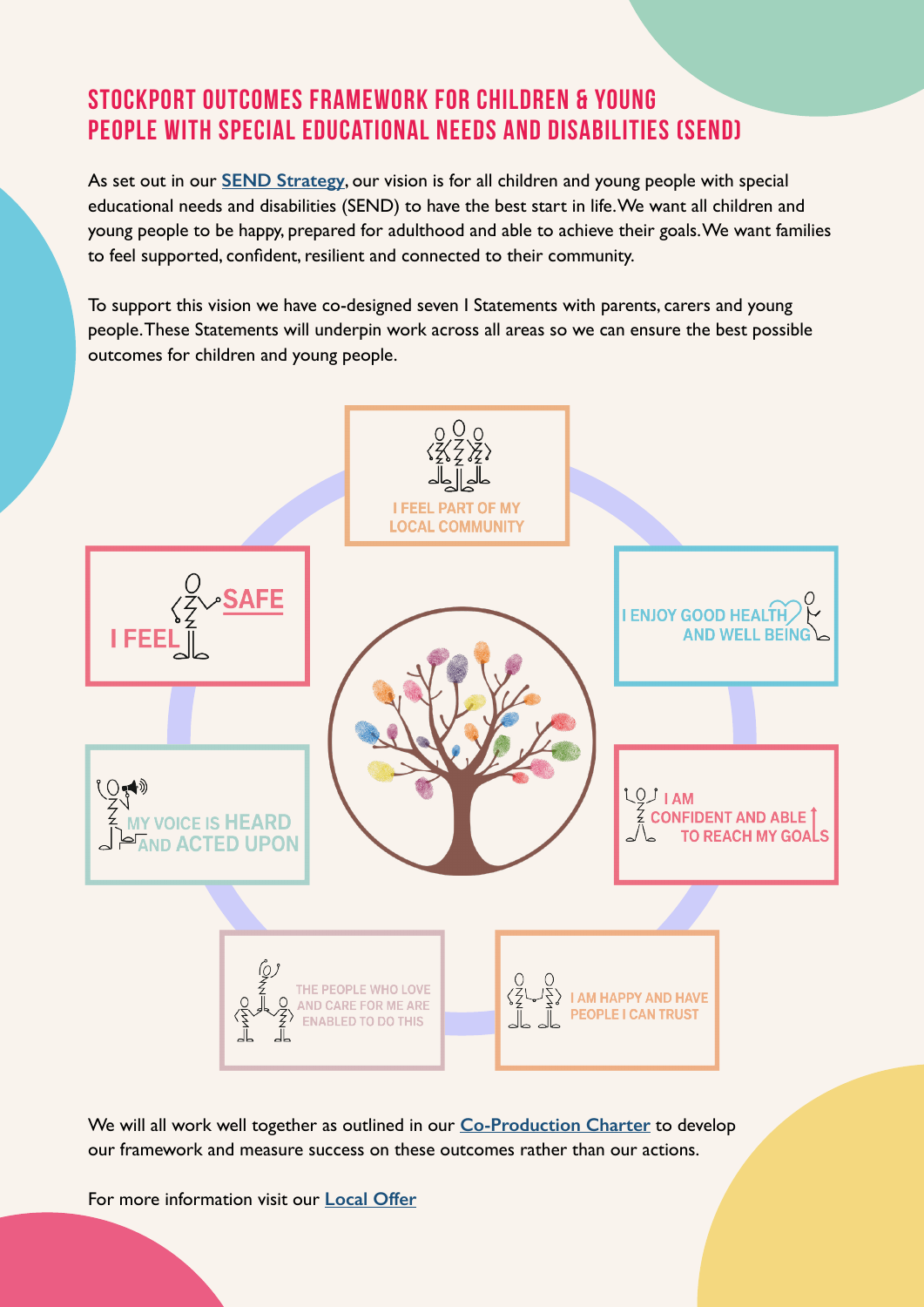## **Stockport Outcomes Framework for Children & Young People with Special Educational Needs and Disabilities (SEND)**

As set out in our **[SEND Strategy](https://stockport.fsd.org.uk/kb5/stockport/fsd/site.page?id=KVzTG4wnE5I)**, our vision is for all children and young people with special educational needs and disabilities (SEND) to have the best start in life. We want all children and young people to be happy, prepared for adulthood and able to achieve their goals. We want families to feel supported, confident, resilient and connected to their community.

To support this vision we have co-designed seven I Statements with parents, carers and young people. These Statements will underpin work across all areas so we can ensure the best possible outcomes for children and young people.



We will all work well together as outlined in our **[Co-Production Charter](https://stockport.fsd.org.uk/kb5/stockport/fsd/site.page?id=nudIaU2nLIw)** to develop our framework and measure success on these outcomes rather than our actions.

For more information visit our **[Local Offer](https://stockport.fsd.org.uk/kb5/stockport/fsd/advice.page?id=refI_wFOjT0)**